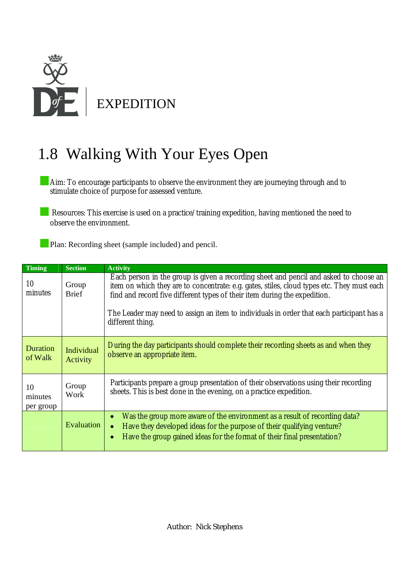

## 1.8 Walking With Your Eyes Open

Aim: To encourage participants to observe the environment they are journeying through and to stimulate choice of purpose for assessed venture.

Resources: This exercise is used on a practice/training expedition, having mentioned the need to observe the environment.

**Plan: Recording sheet (sample included) and pencil.** 

| <b>Timing</b>              | <b>Section</b>         | <b>Activity</b>                                                                                                                                                                                                                                                                                                                                                                   |  |  |
|----------------------------|------------------------|-----------------------------------------------------------------------------------------------------------------------------------------------------------------------------------------------------------------------------------------------------------------------------------------------------------------------------------------------------------------------------------|--|--|
| 10<br>minutes              | Group<br><b>Brief</b>  | Each person in the group is given a recording sheet and pencil and asked to choose an<br>item on which they are to concentrate: e.g. gates, stiles, cloud types etc. They must each<br>find and record five different types of their item during the expedition.<br>The Leader may need to assign an item to individuals in order that each participant has a<br>different thing. |  |  |
| <b>Duration</b><br>of Walk | Individual<br>Activity | During the day participants should complete their recording sheets as and when they<br>observe an appropriate item.                                                                                                                                                                                                                                                               |  |  |
| 10<br>minutes<br>per group | Group<br>Work          | Participants prepare a group presentation of their observations using their recording<br>sheets. This is best done in the evening, on a practice expedition.                                                                                                                                                                                                                      |  |  |
|                            | Evaluation             | Was the group more aware of the environment as a result of recording data?<br>$\bullet$<br>Have they developed ideas for the purpose of their qualifying venture?<br>$\bullet$<br>Have the group gained ideas for the format of their final presentation?<br>$\bullet$                                                                                                            |  |  |